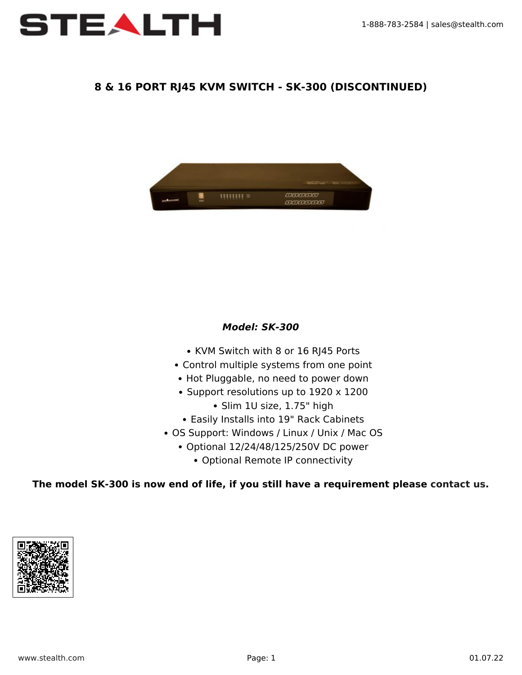

### **8 & 16 PORT RJ45 KVM SWITCH - SK-300 (DISCONTINUED)**



#### *Model: SK-300*

- KVM Switch with 8 or 16 RJ45 Ports
- Control multiple systems from one point
- Hot Pluggable, no need to power down
- Support resolutions up to 1920 x 1200
	- Slim 1U size, 1.75" high
- Easily Installs into 19" Rack Cabinets
- OS Support: Windows / Linux / Unix / Mac OS
	- Optional 12/24/48/125/250V DC power
		- Optional Remote IP connectivity

#### **The model SK-300 is now end of life, if you still have a requirement please [contact us.](https://www.stealth.com/contact-us/)**

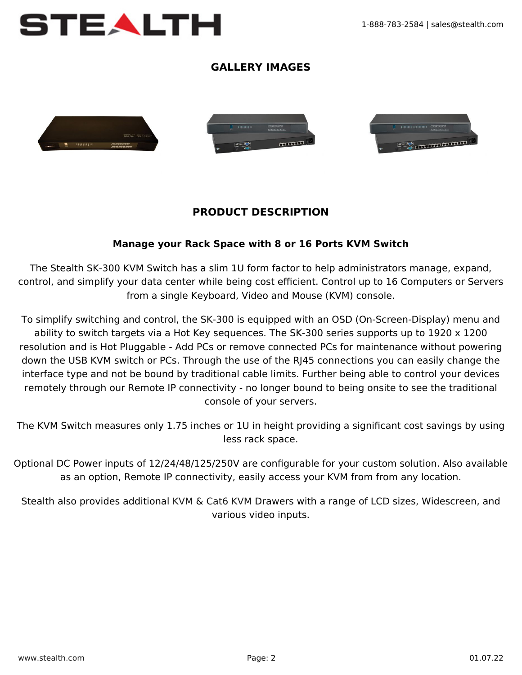

## **GALLERY IMAGES**







## **PRODUCT DESCRIPTION**

#### **Manage your Rack Space with 8 or 16 Ports KVM Switch**

The Stealth SK-300 KVM Switch has a slim 1U form factor to help administrators manage, expand, control, and simplify your data center while being cost efficient. Control up to 16 Computers or Servers from a single Keyboard, Video and Mouse (KVM) console.

To simplify switching and control, the SK-300 is equipped with an OSD (On-Screen-Display) menu and ability to switch targets via a Hot Key sequences. The SK-300 series supports up to 1920 x 1200 resolution and is Hot Pluggable - Add PCs or remove connected PCs for maintenance without powering down the USB KVM switch or PCs. Through the use of the RJ45 connections you can easily change the interface type and not be bound by traditional cable limits. Further being able to control your devices remotely through our Remote IP connectivity - no longer bound to being onsite to see the traditional console of your servers.

The KVM Switch measures only 1.75 inches or 1U in height providing a significant cost savings by using less rack space.

Optional DC Power inputs of 12/24/48/125/250V are configurable for your custom solution. Also available as an option, Remote IP connectivity, easily access your KVM from from any location.

Stealth also provides additional [KVM](https://www.stealth.com/ruggedlcds/flatracklcds/kvm-models-with-db-15-ports/) & [Cat6 KVM](https://www.stealth.com/ruggedlcds/flatracklcds/kvm-models-with-cat6-ports/) Drawers with a range of LCD sizes, Widescreen, and various video inputs.